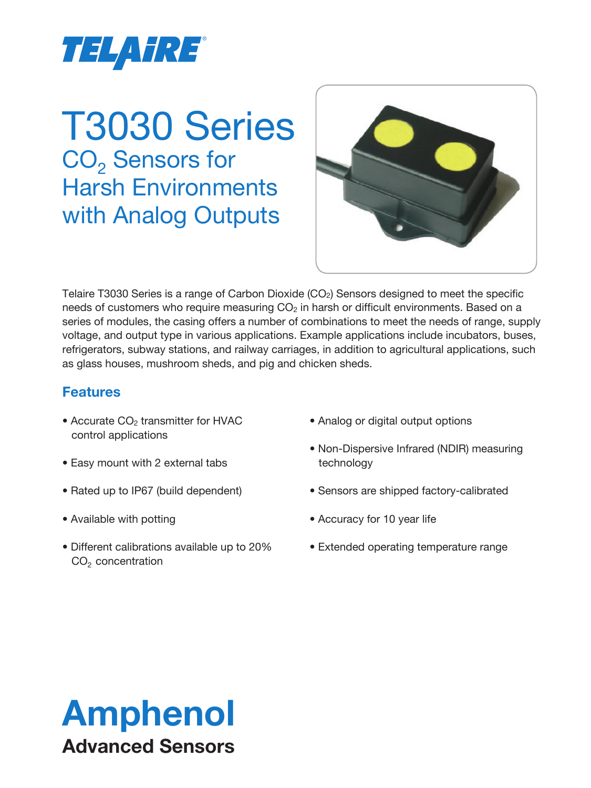

# T3030 Series CO<sub>2</sub> Sensors for Harsh Environments with Analog Outputs



Telaire T3030 Series is a range of Carbon Dioxide  $(CO<sub>2</sub>)$  Sensors designed to meet the specific needs of customers who require measuring  $CO<sub>2</sub>$  in harsh or difficult environments. Based on a series of modules, the casing offers a number of combinations to meet the needs of range, supply voltage, and output type in various applications. Example applications include incubators, buses, refrigerators, subway stations, and railway carriages, in addition to agricultural applications, such as glass houses, mushroom sheds, and pig and chicken sheds.

# **Features**

- Accurate CO<sub>2</sub> transmitter for HVAC control applications
- Easy mount with 2 external tabs
- Rated up to IP67 (build dependent)
- Available with potting
- Different calibrations available up to 20%  $CO<sub>2</sub>$  concentration
- Analog or digital output options
- Non-Dispersive Infrared (NDIR) measuring technology
- Sensors are shipped factory-calibrated
- Accuracy for 10 year life
- Extended operating temperature range

# Amphenol Advanced Sensors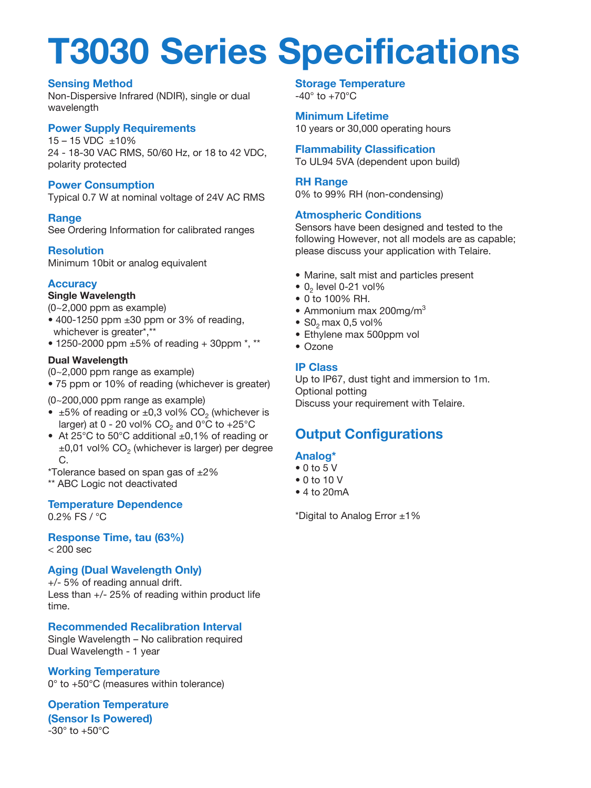# **T3030 Series Specifications**

#### **Sensing Method**

Non-Dispersive Infrared (NDIR), single or dual wavelength

#### **Power Supply Requirements**

15 – 15 VDC ±10% 24 - 18-30 VAC RMS, 50/60 Hz, or 18 to 42 VDC, polarity protected

#### **Power Consumption**

Typical 0.7 W at nominal voltage of 24V AC RMS

#### **Range**

See Ordering Information for calibrated ranges

#### **Resolution**

Minimum 10bit or analog equivalent

### **Accuracy**

#### **Single Wavelength**

- (0~2,000 ppm as example)
- $\bullet$  400-1250 ppm  $\pm 30$  ppm or 3% of reading, whichever is greater\*,\*\*
- 1250-2000 ppm ±5% of reading + 30ppm \*, \*\*

#### **Dual Wavelength**

- (0~2,000 ppm range as example)
- 75 ppm or 10% of reading (whichever is greater)

(0~200,000 ppm range as example)

- $\pm 5\%$  of reading or  $\pm 0.3$  vol% CO<sub>2</sub> (whichever is larger) at 0 - 20 vol%  $CO<sub>2</sub>$  and 0°C to +25°C
- At 25°C to 50°C additional ±0,1% of reading or  $\pm 0,01$  vol% CO<sub>2</sub> (whichever is larger) per degree C.
- \*Tolerance based on span gas of ±2%

\*\* ABC Logic not deactivated

### **Temperature Dependence**

0.2% FS / °C

**Response Time, tau (63%)**  $< 200$  sec

### **Aging (Dual Wavelength Only)**

+/- 5% of reading annual drift. Less than +/- 25% of reading within product life time.

# **Recommended Recalibration Interval**

Single Wavelength – No calibration required Dual Wavelength - 1 year

### **Working Temperature**

0° to +50°C (measures within tolerance)

#### **Operation Temperature (Sensor Is Powered)**

 $-30^\circ$  to  $+50^\circ$ C

#### **Storage Temperature**  $-40^\circ$  to  $+70^\circ$ C

**Minimum Lifetime** 10 years or 30,000 operating hours

**Flammability Classification** To UL94 5VA (dependent upon build)

#### **RH Range**

0% to 99% RH (non-condensing)

#### **Atmospheric Conditions**

Sensors have been designed and tested to the following However, not all models are as capable; please discuss your application with Telaire.

- Marine, salt mist and particles present
- $\bullet$  0<sub>2</sub> level 0-21 vol%
- 0 to 100% RH.
- Ammonium max 200mg/m $3$
- $\bullet$  S<sub>0</sub><sub>2</sub> max 0,5 vol%
- Ethylene max 500ppm vol
- Ozone

#### **IP Class**

Up to IP67, dust tight and immersion to 1m. Optional potting Discuss your requirement with Telaire.

# **Output Configurations**

### **Analog\***

- $\bullet$  0 to 5 V
- 0 to 10 V
- 4 to 20mA

\*Digital to Analog Error ±1%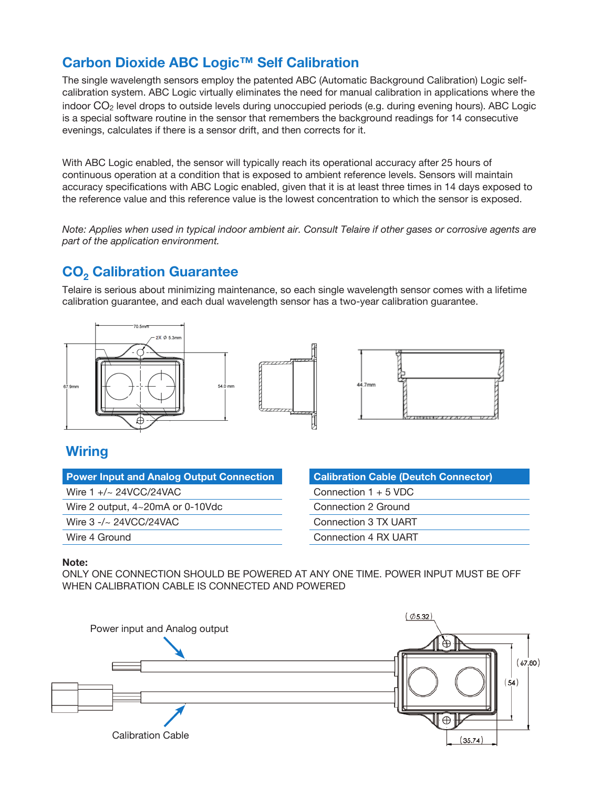# **Carbon Dioxide ABC Logic™ Self Calibration**

The single wavelength sensors employ the patented ABC (Automatic Background Calibration) Logic selfcalibration system. ABC Logic virtually eliminates the need for manual calibration in applications where the indoor CO2 level drops to outside levels during unoccupied periods (e.g. during evening hours). ABC Logic is a special software routine in the sensor that remembers the background readings for 14 consecutive evenings, calculates if there is a sensor drift, and then corrects for it.

With ABC Logic enabled, the sensor will typically reach its operational accuracy after 25 hours of continuous operation at a condition that is exposed to ambient reference levels. Sensors will maintain accuracy specifications with ABC Logic enabled, given that it is at least three times in 14 days exposed to the reference value and this reference value is the lowest concentration to which the sensor is exposed.

*Note: Applies when used in typical indoor ambient air. Consult Telaire if other gases or corrosive agents are part of the application environment.*

# **CO<sub>2</sub> Calibration Guarantee**

Telaire is serious about minimizing maintenance, so each single wavelength sensor comes with a lifetime calibration guarantee, and each dual wavelength sensor has a two-year calibration guarantee.





### **Wiring**

| <b>Power Input and Analog Output Connection</b> |
|-------------------------------------------------|
| Wire 1 $+/- 24$ VCC/24VAC                       |
| Wire 2 output, $4 \sim 20 \text{mA}$ or 0-10Vdc |
| Wire $3 - \sim 24$ VCC/24VAC                    |
| Wire 4 Ground                                   |
|                                                 |

| <b>Calibration Cable (Deutch Connector)</b> |
|---------------------------------------------|
| Connection $1 + 5$ VDC                      |
| Connection 2 Ground                         |
| Connection 3 TX UART                        |
| Connection 4 RX UART                        |

#### **Note:**

ONLY ONE CONNECTION SHOULD BE POWERED AT ANY ONE TIME. POWER INPUT MUST BE OFF WHEN CALIBRATION CABLE IS CONNECTED AND POWERED